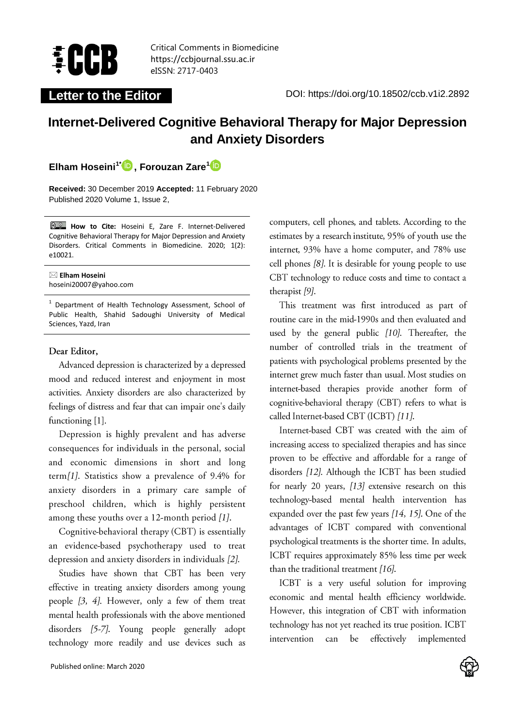

Critical Comments in Biomedicine https://ccbjournal.ssu.ac.ir eISSN: 2717-0403

# **Internet-Delivered Cognitive Behavioral Therapy for Major Depression and Anxiety Disorders**

**Elham Hoseini1\* , Forouzan Zare<sup>1</sup>**

**Received:** 30 December 2019 **Accepted:** 11 February 2020 Published 2020 Volume 1, Issue 2,

**How to Cite:** Hoseini E, Zare F. Internet-Delivered Cognitive Behavioral Therapy for Major Depression and Anxiety Disorders. Critical Comments in Biomedicine. 2020; 1(2): e10021.

#### **Elham Hoseini** hoseini20007@yahoo.com

<sup>1</sup> Department of Health Technology Assessment, School of Public Health, Shahid Sadoughi University of Medical Sciences, Yazd, Iran

#### Dear Editor,

Advanced depression is characterized by a depressed mood and reduced interest and enjoyment in most activities. Anxiety disorders are also characterized by feelings of distress and fear that can impair one's daily functioning [1].

Depression is highly prevalent and has adverse consequences for individuals in the personal, social and economic dimensions in short and long term[1]. Statistics show a prevalence of 9.4% for anxiety disorders in a primary care sample of preschool children, which is highly persistent among these youths over a 12-month period [1].

Cognitive-behavioral therapy (CBT) is essentially an evidence-based psychotherapy used to treat depression and anxiety disorders in individuals [2].

Studies have shown that CBT has been very effective in treating anxiety disorders among young people  $[3, 4]$ . However, only a few of them treat mental health professionals with the above mentioned disorders [5-7]. Young people generally adopt technology more readily and use devices such as computers, cell phones, and tablets. According to the estimates by a research institute, 95% of youth use the internet, 93% have a home computer, and 78% use cell phones [8]. It is desirable for young people to use CBT technology to reduce costs and time to contact a therapist [9].

This treatment was first introduced as part of routine care in the mid-1990s and then evaluated and used by the general public [10]. Thereafter, the number of controlled trials in the treatment of patients with psychological problems presented by the internet grew much faster than usual. Most studies on internet-based therapies provide another form of cognitive-behavioral therapy (CBT) refers to what is called Internet-based CBT (ICBT) [11].

Internet-based CBT was created with the aim of increasing access to specialized therapies and has since proven to be effective and affordable for a range of disorders [12]. Although the ICBT has been studied for nearly 20 years, [13] extensive research on this technology-based mental health intervention has expanded over the past few years [14, 15]. One of the advantages of ICBT compared with conventional psychological treatments is the shorter time. In adults, ICBT requires approximately 85% less time per week than the traditional treatment [16].

ICBT is a very useful solution for improving economic and mental health efficiency worldwide. However, this integration of CBT with information technology has not yet reached its true position. ICBT intervention be effectively can implemented

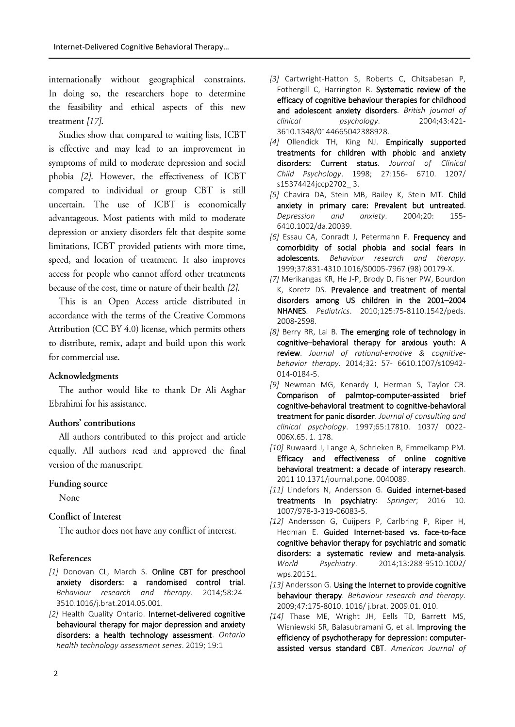internationally without geographical constraints. In doing so, the researchers hope to determine the feasibility and ethical aspects of this new treatment [17].

Studies show that compared to waiting lists, ICBT is effective and may lead to an improvement in symptoms of mild to moderate depression and social phobia [2]. However, the effectiveness of ICBT compared to individual or group CBT is still uncertain. The use of ICBT is economically advantageous. Most patients with mild to moderate depression or anxiety disorders felt that despite some limitations, ICBT provided patients with more time, speed, and location of treatment. It also improves access for people who cannot afford other treatments because of the cost, time or nature of their health [2].

This is an Open Access article distributed in accordance with the terms of the Creative Commons Attribution (CC BY 4.0) license, which permits others to distribute, remix, adapt and build upon this work for commercial use.

#### Acknowledgments

The author would like to thank Dr Ali Asghar Ebrahimi for his assistance.

### Authors' contributions

All authors contributed to this project and article equally. All authors read and approved the final version of the manuscript.

#### Funding source

None

## Conflict of Interest

The author does not have any conflict of interest.

#### References

- *[1]* Donovan CL, March S. Online CBT for preschool anxiety disorders: a randomised control trial. *Behaviour research and therapy*. 2014;58:24- 3510.1016/j.brat.2014.05.001.
- *[2]* Health Quality Ontario. Internet-delivered cognitive behavioural therapy for major depression and anxiety disorders: a health technology assessment. *Ontario health technology assessment series*. 2019; 19:1
- *[3]* Cartwright‐Hatton S, Roberts C, Chitsabesan P, Fothergill C, Harrington R. Systematic review of the efficacy of cognitive behaviour therapies for childhood and adolescent anxiety disorders. *British journal of clinical psychology*. 2004;43:421- 3610.1348/0144665042388928.
- *[4]* Ollendick TH, King NJ. Empirically supported treatments for children with phobic and anxiety disorders: Current status. *Journal of Clinical Child Psychology*. 1998; 27:156- 6710. 1207/ s15374424jccp2702\_ 3.
- *[5]* Chavira DA, Stein MB, Bailey K, Stein MT. Child anxiety in primary care: Prevalent but untreated. *Depression and anxiety*. 2004;20: 155- 6410.1002/da.20039.
- *[6]* Essau CA, Conradt J, Petermann F. Frequency and comorbidity of social phobia and social fears in adolescents. *Behaviour research and therapy*. 1999;37:831-4310.1016/S0005-7967 (98) 00179-X.
- *[7]* Merikangas KR, He J-P, Brody D, Fisher PW, Bourdon K, Koretz DS. Prevalence and treatment of mental disorders among US children in the 2001–2004 NHANES. *Pediatrics*. 2010;125:75-8110.1542/peds. 2008-2598.
- *[8]* Berry RR, Lai B. The emerging role of technology in cognitive–behavioral therapy for anxious youth: A review. *Journal of rational-emotive & cognitivebehavior therapy*. 2014;32: 57- 6610.1007/s10942- 014-0184-5.
- *[9]* Newman MG, Kenardy J, Herman S, Taylor CB. Comparison of palmtop-computer-assisted brief cognitive-behavioral treatment to cognitive-behavioral treatment for panic disorder. *Journal of consulting and clinical psychology*. 1997;65:17810. 1037/ 0022- 006X.65. 1. 178.
- *[10]* Ruwaard J, Lange A, Schrieken B, Emmelkamp PM. Efficacy and effectiveness of online cognitive behavioral treatment: a decade of interapy research. 2011 10.1371/journal.pone. 0040089.
- *[11]* Lindefors N, Andersson G. Guided internet-based treatments in psychiatry: *Springer*; 2016 10. 1007/978-3-319-06083-5.
- *[12]* Andersson G, Cuijpers P, Carlbring P, Riper H, Hedman E. Guided Internet-based vs. face-to-face cognitive behavior therapy for psychiatric and somatic disorders: a systematic review and meta‐analysis. *World Psychiatry*. 2014;13:288-9510.1002/ wps.20151.
- *[13]* Andersson G. Using the Internet to provide cognitive behaviour therapy. *Behaviour research and therapy*. 2009;47:175-8010. 1016/ j.brat. 2009.01. 010.
- *[14]* Thase ME, Wright JH, Eells TD, Barrett MS, Wisniewski SR, Balasubramani G, et al. Improving the efficiency of psychotherapy for depression: computerassisted versus standard CBT. *American Journal of*